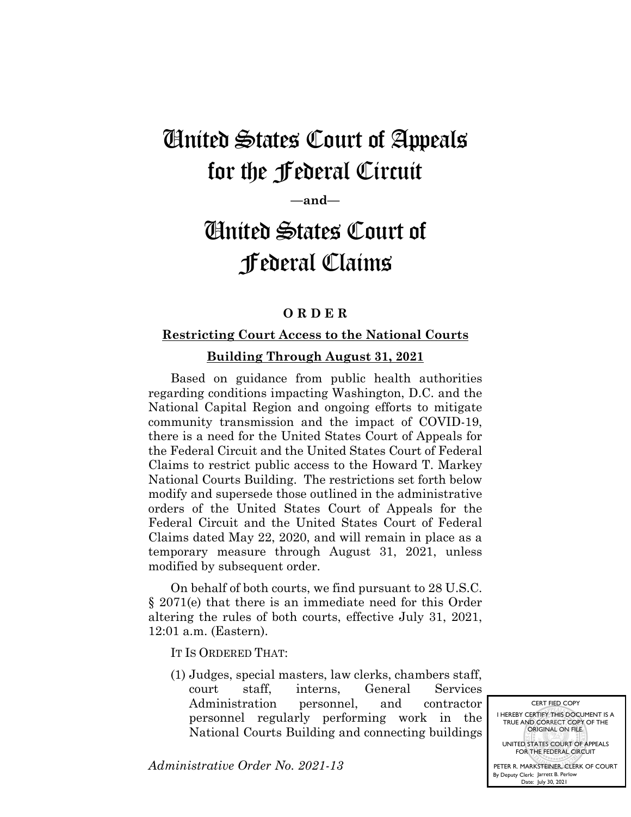## United States Court of Appeals for the Federal Circuit

**—and—**

# United States Court of Federal Claims

#### **O R D E R**

### **Restricting Court Access to the National Courts**

#### **Building Through August 31, 2021**

Based on guidance from public health authorities regarding conditions impacting Washington, D.C. and the National Capital Region and ongoing efforts to mitigate community transmission and the impact of COVID-19, there is a need for the United States Court of Appeals for the Federal Circuit and the United States Court of Federal Claims to restrict public access to the Howard T. Markey National Courts Building. The restrictions set forth below modify and supersede those outlined in the administrative orders of the United States Court of Appeals for the Federal Circuit and the United States Court of Federal Claims dated May 22, 2020, and will remain in place as a temporary measure through August 31, 2021, unless modified by subsequent order.

On behalf of both courts, we find pursuant to 28 U.S.C. § 2071(e) that there is an immediate need for this Order altering the rules of both courts, effective July 31, 2021, 12:01 a.m. (Eastern).

IT IS ORDERED THAT:

(1) Judges, special masters, law clerks, chambers staff, court staff, interns, General Services Administration personnel, and contractor personnel regularly performing work in the National Courts Building and connecting buildings

*Administrative Order No. 2021-13*

UNITED STATES COURT OF APPEALS FOR THE FEDERAL CIRCUIT PETER R. MARKSTEINER, CLERK OF COURT By Deputy Clerk: Jarrett B. Perlow

Date: July 30, 2021

CERT FIED COPY I HEREBY CERTIFY THIS DOCUMENT IS A TRUE AND CORRECT COPY OF THE ORIGINAL ON FILE.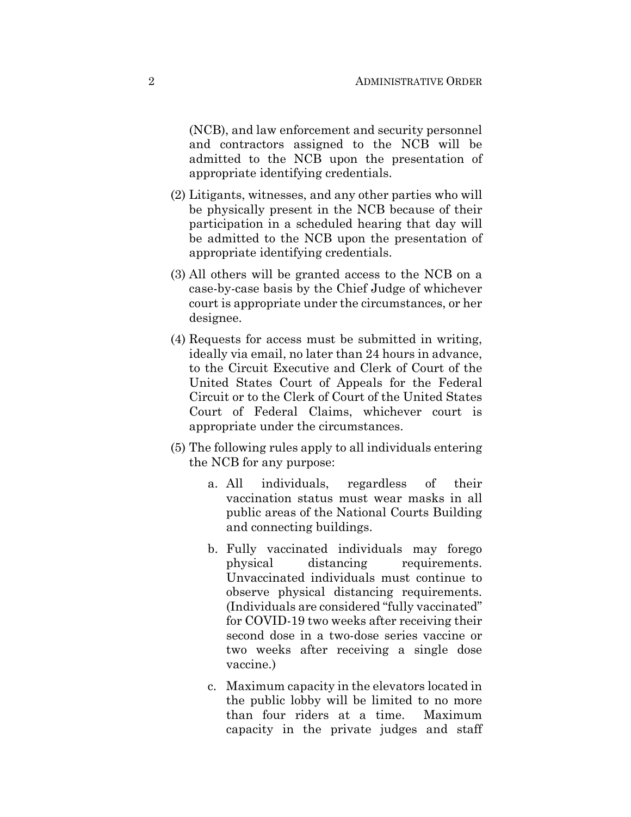(NCB), and law enforcement and security personnel and contractors assigned to the NCB will be admitted to the NCB upon the presentation of appropriate identifying credentials.

- (2) Litigants, witnesses, and any other parties who will be physically present in the NCB because of their participation in a scheduled hearing that day will be admitted to the NCB upon the presentation of appropriate identifying credentials.
- (3) All others will be granted access to the NCB on a case-by-case basis by the Chief Judge of whichever court is appropriate under the circumstances, or her designee.
- (4) Requests for access must be submitted in writing, ideally via email, no later than 24 hours in advance, to the Circuit Executive and Clerk of Court of the United States Court of Appeals for the Federal Circuit or to the Clerk of Court of the United States Court of Federal Claims, whichever court is appropriate under the circumstances.
- (5) The following rules apply to all individuals entering the NCB for any purpose:
	- a. All individuals, regardless of their vaccination status must wear masks in all public areas of the National Courts Building and connecting buildings.
	- b. Fully vaccinated individuals may forego physical distancing requirements. Unvaccinated individuals must continue to observe physical distancing requirements. (Individuals are considered "fully vaccinated" for COVID-19 two weeks after receiving their second dose in a two-dose series vaccine or two weeks after receiving a single dose vaccine.)
	- c. Maximum capacity in the elevators located in the public lobby will be limited to no more than four riders at a time. Maximum capacity in the private judges and staff